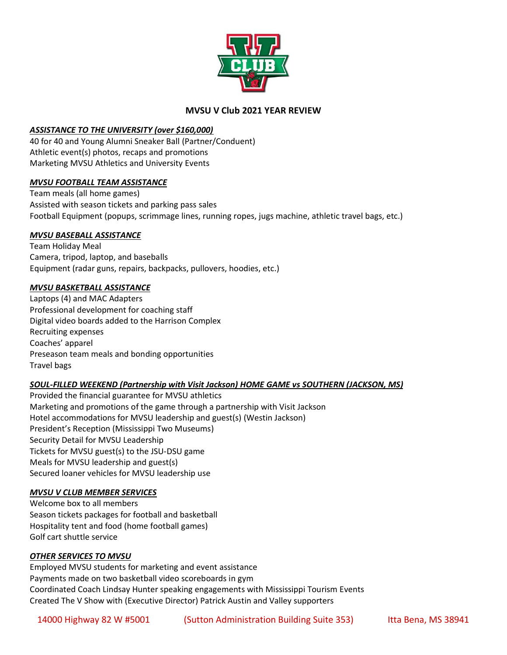

# **MVSU V Club 2021 YEAR REVIEW**

### *ASSISTANCE TO THE UNIVERSITY (over \$160,000)*

40 for 40 and Young Alumni Sneaker Ball (Partner/Conduent) Athletic event(s) photos, recaps and promotions Marketing MVSU Athletics and University Events

### *MVSU FOOTBALL TEAM ASSISTANCE*

Team meals (all home games) Assisted with season tickets and parking pass sales Football Equipment (popups, scrimmage lines, running ropes, jugs machine, athletic travel bags, etc.)

### *MVSU BASEBALL ASSISTANCE*

Team Holiday Meal Camera, tripod, laptop, and baseballs Equipment (radar guns, repairs, backpacks, pullovers, hoodies, etc.)

### *MVSU BASKETBALL ASSISTANCE*

Laptops (4) and MAC Adapters Professional development for coaching staff Digital video boards added to the Harrison Complex Recruiting expenses Coaches' apparel Preseason team meals and bonding opportunities Travel bags

## *SOUL-FILLED WEEKEND (Partnership with Visit Jackson) HOME GAME vs SOUTHERN (JACKSON, MS)*

Provided the financial guarantee for MVSU athletics Marketing and promotions of the game through a partnership with Visit Jackson Hotel accommodations for MVSU leadership and guest(s) (Westin Jackson) President's Reception (Mississippi Two Museums) Security Detail for MVSU Leadership Tickets for MVSU guest(s) to the JSU-DSU game Meals for MVSU leadership and guest(s) Secured loaner vehicles for MVSU leadership use

### *MVSU V CLUB MEMBER SERVICES*

Welcome box to all members Season tickets packages for football and basketball Hospitality tent and food (home football games) Golf cart shuttle service

### *OTHER SERVICES TO MVSU*

Employed MVSU students for marketing and event assistance Payments made on two basketball video scoreboards in gym Coordinated Coach Lindsay Hunter speaking engagements with Mississippi Tourism Events Created The V Show with (Executive Director) Patrick Austin and Valley supporters